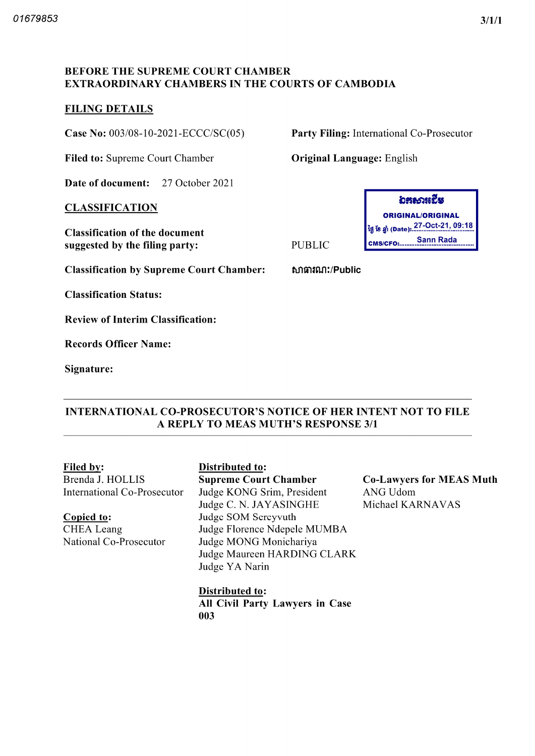## BEFORE THE SUPREME COURT CHAMBER EXTRAORDINARY CHAMBERS IN THE COURTS OF CAMBODIA

#### FILING DETAILS

Case No: 003/08-10-2021-ECCC/SC(05) Party Filing: International Co-Prosecutor

Filed to: Supreme Court Chamber **Original Language:** English

Date of document: 27 October 2021

#### CLASSIFICATION

Classification of the document suggested by the filing party: PUBLIC

Classification by Supreme Court Chamber: bภาคา ://Public

Classification Status

Review of Interim Classification

Records Officer Name

Signature:

### INTERNATIONAL CO PROSECUTOR'S NOTICE OF HER INTENT NOT TO FILE A REPLY TO MEAS MUTH'S RESPONSE 3/1

Brenda J. HOLLIS International Co Prosecutor

Copied to CHEA Leang National Co Prosecutor

# Filed by: Distributed to:

Supreme Court Chamber Judge KONG Srim, President Judge C. N. JAYASINGHE Judge SOM Sereyvuth Judge Florence Ndepele MUMBA Judge MONG Monichariya Judge Maureen HARDING CLARK Judge YA Narin

Distributed to All Civil Party Lawyers in Case 003



Co Lawyers for MEAS Muth ANG Udom Michael KARNAVAS